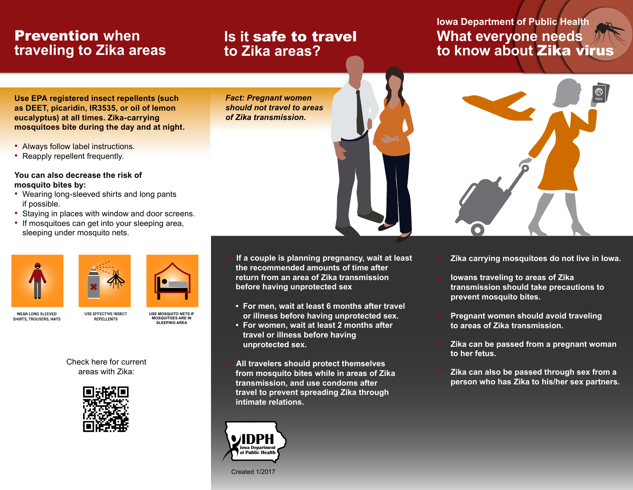## Prevention **when traveling to Zika areas**

### **Is it** safe to travel **to Zika areas?**

*Fact: Pregnant women should not travel to areas of Zika transmission.*

### **Iowa Department of Public Health What everyone needs to know about** Zika virus

**Use EPA registered insect repellents (such as DEET, picaridin, IR3535, or oil of lemon eucalyptus) at all times. Zika-carrying mosquitoes bite during the day and at night.**

- Always follow label instructions.
- Reapply repellent frequently.

#### **You can also decrease the risk of mosquito bites by:**

- Wearing long-sleeved shirts and long pants if possible.
- Staying in places with window and door screens.
- If mosquitoes can get into your sleeping area, sleeping under mosquito nets.





**WEAR LONG SLEEVED** SHIRTS, TROUSERS, HATS

**USE MOSQUITO NETS IF MOSQUITOES ARE IN SLEEPING AREA**

Check here for current areas with Zika:

**LISE EFFECTIVE INSECT** 

**REPELLENTS** 



 **If a couple is planning pregnancy, wait at least the recommended amounts of time after return from an area of Zika transmission before having unprotected sex**

- **For men, wait at least 6 months after travel or illness before having unprotected sex.**
- **For women, wait at least 2 months after travel or illness before having unprotected sex.**
- **All travelers should protect themselves from mosquito bites while in areas of Zika transmission, and use condoms after travel to prevent spreading Zika through intimate relations.**



Created 1/2017



- **Zika carrying mosquitoes do not live in Iowa.**
- **Iowans traveling to areas of Zika transmission should take precautions to prevent mosquito bites.**
- **Pregnant women should avoid traveling to areas of Zika transmission.**
- **Zika can be passed from a pregnant woman to her fetus.**
- **Zika can also be passed through sex from a person who has Zika to his/her sex partners.**